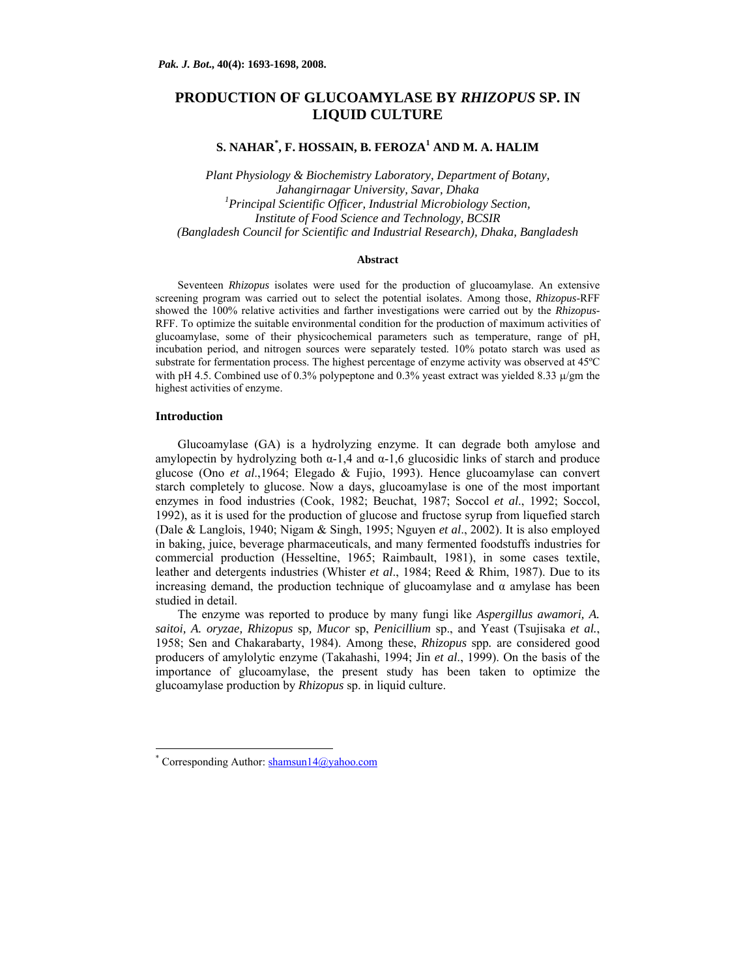# **PRODUCTION OF GLUCOAMYLASE BY** *RHIZOPUS* **SP. IN LIQUID CULTURE**

# **S. NAHAR\* , F. HOSSAIN, B. FEROZA<sup>1</sup> AND M. A. HALIM**

*Plant Physiology & Biochemistry Laboratory, Department of Botany, Jahangirnagar University, Savar, Dhaka 1 Principal Scientific Officer, Industrial Microbiology Section, Institute of Food Science and Technology, BCSIR (Bangladesh Council for Scientific and Industrial Research), Dhaka, Bangladesh* 

#### **Abstract**

Seventeen *Rhizopus* isolates were used for the production of glucoamylase. An extensive screening program was carried out to select the potential isolates. Among those, *Rhizopus*-RFF showed the 100% relative activities and farther investigations were carried out by the *Rhizopus*-RFF. To optimize the suitable environmental condition for the production of maximum activities of glucoamylase, some of their physicochemical parameters such as temperature, range of pH, incubation period, and nitrogen sources were separately tested. 10% potato starch was used as substrate for fermentation process. The highest percentage of enzyme activity was observed at 45ºC with pH 4.5. Combined use of 0.3% polypeptone and 0.3% yeast extract was yielded 8.33  $\mu$ /gm the highest activities of enzyme.

#### **Introduction**

 $\overline{a}$ 

Glucoamylase (GA) is a hydrolyzing enzyme. It can degrade both amylose and amylopectin by hydrolyzing both  $\alpha$ -1,4 and  $\alpha$ -1,6 glucosidic links of starch and produce glucose (Ono *et al*.,1964; Elegado & Fujio, 1993). Hence glucoamylase can convert starch completely to glucose. Now a days, glucoamylase is one of the most important enzymes in food industries (Cook, 1982; Beuchat, 1987; Soccol *et al*., 1992; Soccol, 1992), as it is used for the production of glucose and fructose syrup from liquefied starch (Dale & Langlois, 1940; Nigam & Singh, 1995; Nguyen *et al*., 2002). It is also employed in baking, juice, beverage pharmaceuticals, and many fermented foodstuffs industries for commercial production (Hesseltine, 1965; Raimbault, 1981), in some cases textile, leather and detergents industries (Whister *et al*., 1984; Reed & Rhim, 1987). Due to its increasing demand, the production technique of glucoamylase and  $\alpha$  amylase has been studied in detail.

The enzyme was reported to produce by many fungi like *Aspergillus awamori, A. saitoi, A. oryzae, Rhizopus* sp*, Mucor* sp, *Penicillium* sp., and Yeast (Tsujisaka *et al.*, 1958; Sen and Chakarabarty, 1984). Among these, *Rhizopus* spp*.* are considered good producers of amylolytic enzyme (Takahashi, 1994; Jin *et al*., 1999). On the basis of the importance of glucoamylase, the present study has been taken to optimize the glucoamylase production by *Rhizopus* sp. in liquid culture.

<sup>\*</sup> Corresponding Author: shamsun14@yahoo.com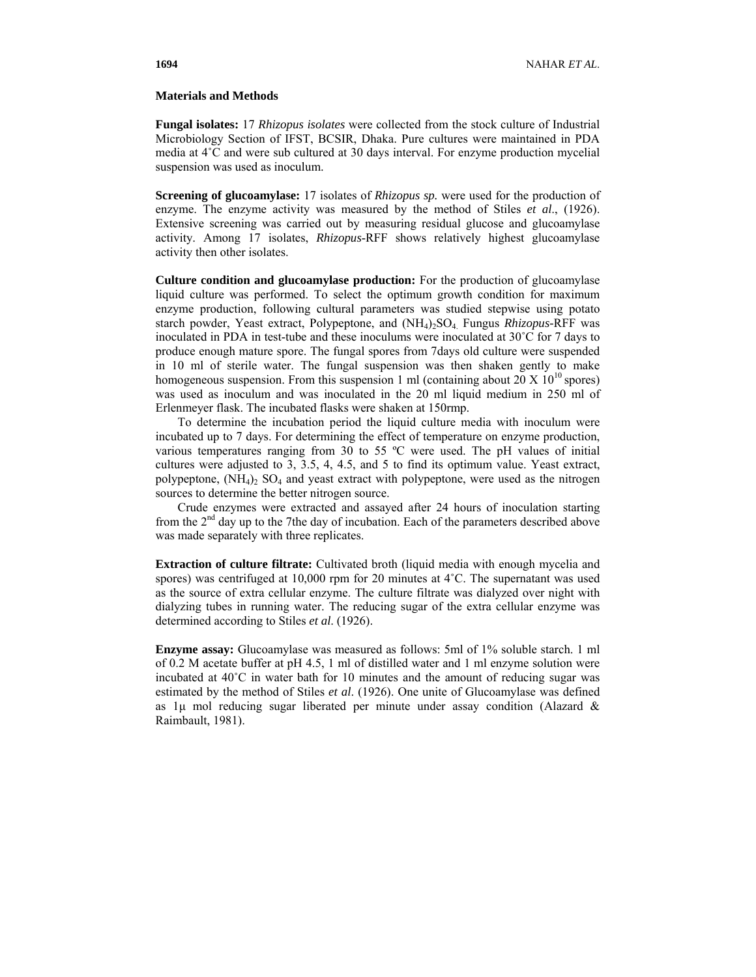## **Materials and Methods**

**Fungal isolates:** 17 *Rhizopus isolates* were collected from the stock culture of Industrial Microbiology Section of IFST, BCSIR, Dhaka. Pure cultures were maintained in PDA media at 4˚C and were sub cultured at 30 days interval. For enzyme production mycelial suspension was used as inoculum.

**Screening of glucoamylase:** 17 isolates of *Rhizopus sp.* were used for the production of enzyme. The enzyme activity was measured by the method of Stiles *et al*., (1926). Extensive screening was carried out by measuring residual glucose and glucoamylase activity. Among 17 isolates, *Rhizopus*-RFF shows relatively highest glucoamylase activity then other isolates.

**Culture condition and glucoamylase production:** For the production of glucoamylase liquid culture was performed. To select the optimum growth condition for maximum enzyme production, following cultural parameters was studied stepwise using potato starch powder, Yeast extract, Polypeptone, and (NH4)2SO4. Fungus *Rhizopus-*RFF was inoculated in PDA in test-tube and these inoculums were inoculated at 30˚C for 7 days to produce enough mature spore. The fungal spores from 7days old culture were suspended in 10 ml of sterile water. The fungal suspension was then shaken gently to make homogeneous suspension. From this suspension 1 ml (containing about 20 X  $10^{10}$  spores) was used as inoculum and was inoculated in the 20 ml liquid medium in 250 ml of Erlenmeyer flask. The incubated flasks were shaken at 150rmp.

 To determine the incubation period the liquid culture media with inoculum were incubated up to 7 days. For determining the effect of temperature on enzyme production, various temperatures ranging from 30 to 55 ºC were used. The pH values of initial cultures were adjusted to 3, 3.5, 4, 4.5, and 5 to find its optimum value. Yeast extract, polypeptone,  $(NH_4)$  SO<sub>4</sub> and yeast extract with polypeptone, were used as the nitrogen sources to determine the better nitrogen source.

Crude enzymes were extracted and assayed after 24 hours of inoculation starting from the 2<sup>nd</sup> day up to the 7the day of incubation. Each of the parameters described above was made separately with three replicates.

**Extraction of culture filtrate:** Cultivated broth (liquid media with enough mycelia and spores) was centrifuged at 10,000 rpm for 20 minutes at 4°C. The supernatant was used as the source of extra cellular enzyme. The culture filtrate was dialyzed over night with dialyzing tubes in running water. The reducing sugar of the extra cellular enzyme was determined according to Stiles *et al*. (1926).

**Enzyme assay:** Glucoamylase was measured as follows: 5ml of 1% soluble starch. 1 ml of 0.2 M acetate buffer at pH 4.5, 1 ml of distilled water and 1 ml enzyme solution were incubated at 40˚C in water bath for 10 minutes and the amount of reducing sugar was estimated by the method of Stiles *et al*. (1926). One unite of Glucoamylase was defined as  $1\mu$  mol reducing sugar liberated per minute under assay condition (Alazard & Raimbault, 1981).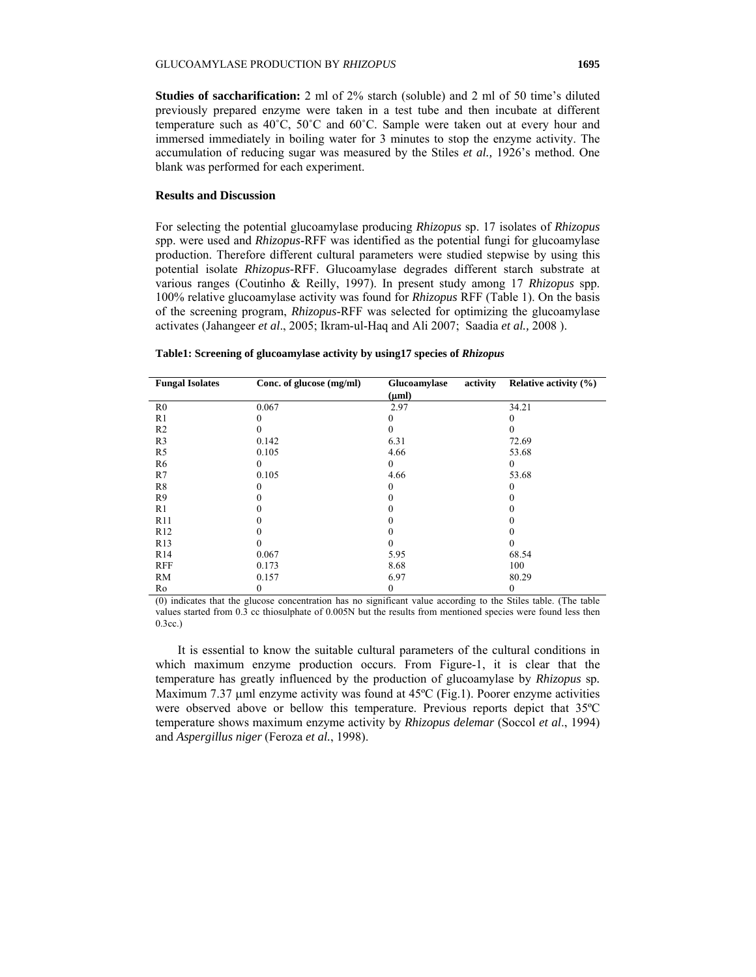**Studies of saccharification:** 2 ml of 2% starch (soluble) and 2 ml of 50 time's diluted previously prepared enzyme were taken in a test tube and then incubate at different temperature such as 40˚C, 50˚C and 60˚C. Sample were taken out at every hour and immersed immediately in boiling water for 3 minutes to stop the enzyme activity. The accumulation of reducing sugar was measured by the Stiles *et al.,* 1926's method. One blank was performed for each experiment.

## **Results and Discussion**

For selecting the potential glucoamylase producing *Rhizopus* sp. 17 isolates of *Rhizopus s*pp. were used and *Rhizopus*-RFF was identified as the potential fungi for glucoamylase production. Therefore different cultural parameters were studied stepwise by using this potential isolate *Rhizopus*-RFF. Glucoamylase degrades different starch substrate at various ranges (Coutinho & Reilly, 1997). In present study among 17 *Rhizopus* spp. 100% relative glucoamylase activity was found for *Rhizopus* RFF (Table 1). On the basis of the screening program, *Rhizopus*-RFF was selected for optimizing the glucoamylase activates (Jahangeer *et al*., 2005; Ikram-ul-Haq and Ali 2007; Saadia *et al.,* 2008 ).

#### **Table1: Screening of glucoamylase activity by using17 species of** *Rhizopus*

| <b>Fungal Isolates</b> | Conc. of glucose (mg/ml) | Glucoamylase<br>activity | Relative activity $(\% )$ |
|------------------------|--------------------------|--------------------------|---------------------------|
|                        |                          | $(\mu m)$                |                           |
| R <sub>0</sub>         | 0.067                    | 2.97                     | 34.21                     |
| R1                     |                          |                          |                           |
| R <sub>2</sub>         |                          |                          |                           |
| R <sub>3</sub>         | 0.142                    | 6.31                     | 72.69                     |
| R <sub>5</sub>         | 0.105                    | 4.66                     | 53.68                     |
| R <sub>6</sub>         | $\theta$                 | 0                        | $\theta$                  |
| R7                     | 0.105                    | 4.66                     | 53.68                     |
| R8                     | 0                        | 0                        | 0                         |
| R <sub>9</sub>         |                          |                          |                           |
| R1                     |                          |                          |                           |
| R11                    |                          |                          |                           |
| R12                    |                          |                          |                           |
| R13                    |                          |                          |                           |
| R14                    | 0.067                    | 5.95                     | 68.54                     |
| <b>RFF</b>             | 0.173                    | 8.68                     | 100                       |
| RM                     | 0.157                    | 6.97                     | 80.29                     |
| Ro                     | 0                        | 0                        | 0                         |

(0) indicates that the glucose concentration has no significant value according to the Stiles table. (The table values started from 0.3 cc thiosulphate of 0.005N but the results from mentioned species were found less then 0.3cc.)

It is essential to know the suitable cultural parameters of the cultural conditions in which maximum enzyme production occurs. From Figure-1, it is clear that the temperature has greatly influenced by the production of glucoamylase by *Rhizopus* sp*.* Maximum 7.37 uml enzyme activity was found at 45<sup>o</sup>C (Fig.1). Poorer enzyme activities were observed above or bellow this temperature. Previous reports depict that 35ºC temperature shows maximum enzyme activity by *Rhizopus delemar* (Soccol *et al*., 1994) and *Aspergillus niger* (Feroza *et al.*, 1998).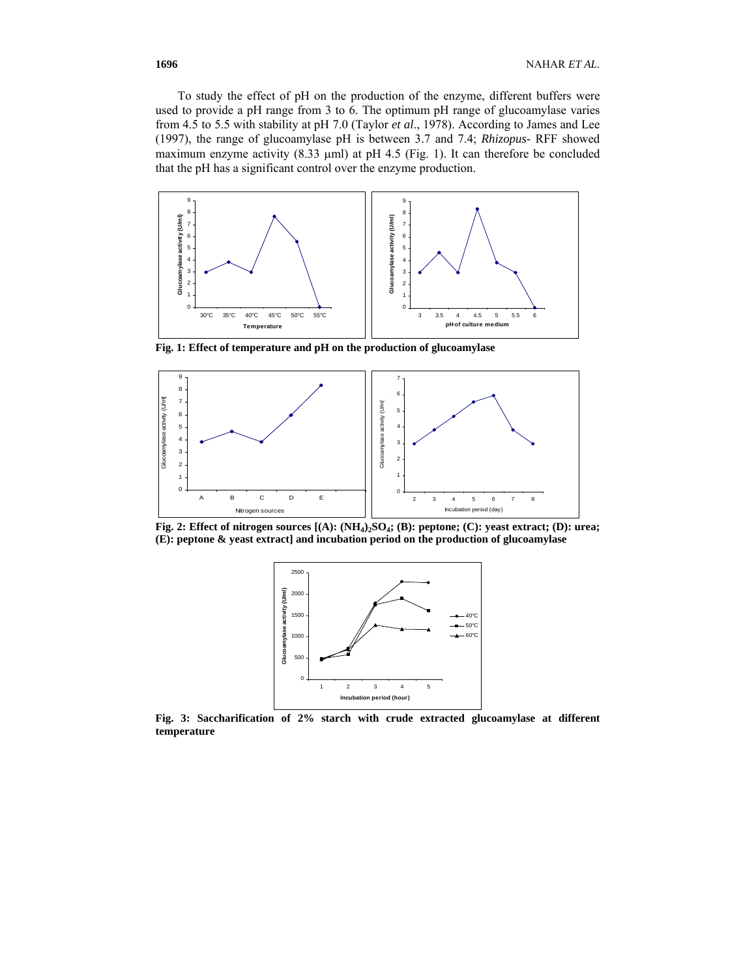To study the effect of pH on the production of the enzyme, different buffers were used to provide a pH range from 3 to 6. The optimum pH range of glucoamylase varies from 4.5 to 5.5 with stability at pH 7.0 (Taylor *et al*., 1978). According to James and Lee (1997), the range of glucoamylase pH is between 3.7 and 7.4; *Rhizopus-* RFF showed maximum enzyme activity (8.33 μml) at pH 4.5 (Fig. 1). It can therefore be concluded that the pH has a significant control over the enzyme production.



**Fig. 1: Effect of temperature and pH on the production of glucoamylase** 



Fig. 2: Effect of nitrogen sources [(A):  $(NH_4)_2SO_4$ ; (B): peptone; (C): yeast extract; (D): urea; **(E): peptone & yeast extract] and incubation period on the production of glucoamylase** 



**Fig. 3: Saccharification of 2% starch with crude extracted glucoamylase at different temperature**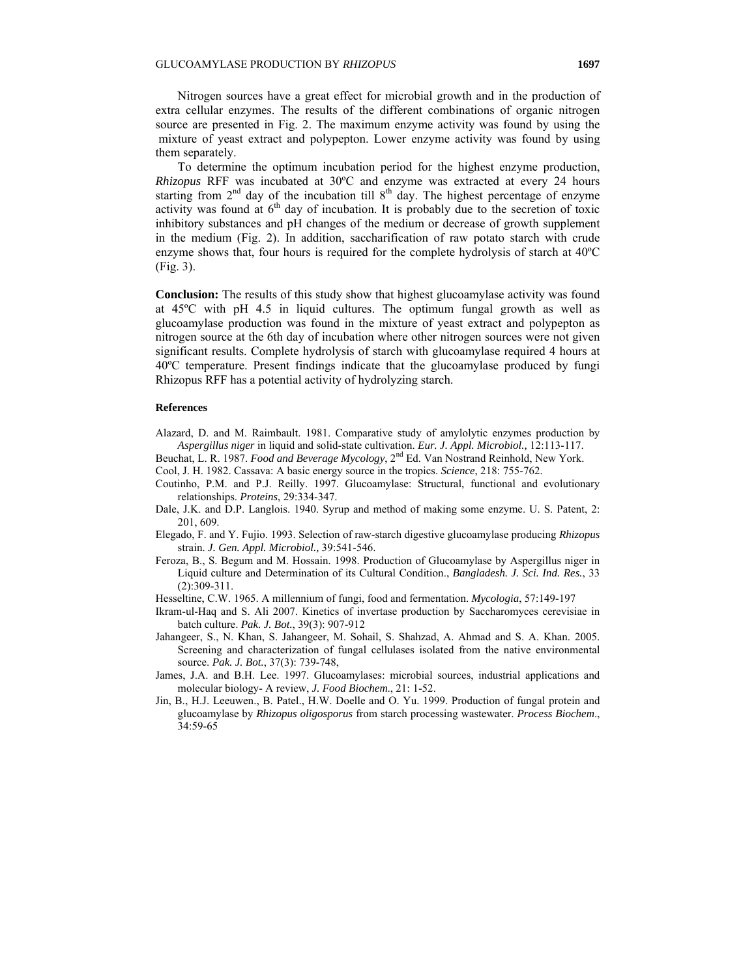Nitrogen sources have a great effect for microbial growth and in the production of extra cellular enzymes. The results of the different combinations of organic nitrogen source are presented in Fig. 2. The maximum enzyme activity was found by using the mixture of yeast extract and polypepton. Lower enzyme activity was found by using them separately.

To determine the optimum incubation period for the highest enzyme production, *Rhizopus* RFF was incubated at 30ºC and enzyme was extracted at every 24 hours starting from  $2<sup>nd</sup>$  day of the incubation till  $8<sup>th</sup>$  day. The highest percentage of enzyme activity was found at  $6<sup>th</sup>$  day of incubation. It is probably due to the secretion of toxic inhibitory substances and pH changes of the medium or decrease of growth supplement in the medium (Fig. 2). In addition, saccharification of raw potato starch with crude enzyme shows that, four hours is required for the complete hydrolysis of starch at 40ºC (Fig. 3).

**Conclusion:** The results of this study show that highest glucoamylase activity was found at 45ºC with pH 4.5 in liquid cultures. The optimum fungal growth as well as glucoamylase production was found in the mixture of yeast extract and polypepton as nitrogen source at the 6th day of incubation where other nitrogen sources were not given significant results. Complete hydrolysis of starch with glucoamylase required 4 hours at 40ºC temperature. Present findings indicate that the glucoamylase produced by fungi Rhizopus RFF has a potential activity of hydrolyzing starch.

## **References**

- Alazard, D. and M. Raimbault. 1981. Comparative study of amylolytic enzymes production by *Aspergillus niger* in liquid and solid-state cultivation. *Eur. J. Appl. Microbiol.,* 12:113-117.
- Beuchat, L. R. 1987. *Food and Beverage Mycology*, 2nd Ed. Van Nostrand Reinhold, New York.
- Cool, J. H. 1982. Cassava: A basic energy source in the tropics. *Science*, 218: 755-762.
- Coutinho, P.M. and P.J. Reilly. 1997. Glucoamylase: Structural, functional and evolutionary relationships. *Proteins*, 29:334-347.
- Dale, J.K. and D.P. Langlois. 1940. Syrup and method of making some enzyme. U. S. Patent, 2: 201, 609.
- Elegado, F. and Y. Fujio. 1993. Selection of raw-starch digestive glucoamylase producing *Rhizopus*  strain. *J. Gen. Appl. Microbiol.,* 39:541-546.
- Feroza, B., S. Begum and M. Hossain. 1998. Production of Glucoamylase by Aspergillus niger in Liquid culture and Determination of its Cultural Condition., *Bangladesh. J. Sci. Ind. Res.*, 33 (2):309-311.
- Hesseltine, C.W. 1965. A millennium of fungi, food and fermentation. *Mycologia*, 57:149-197
- Ikram-ul-Haq and S. Ali 2007. Kinetics of invertase production by Saccharomyces cerevisiae in batch culture. *Pak. J. Bot.*, 39(3): 907-912
- Jahangeer, S., N. Khan, S. Jahangeer, M. Sohail, S. Shahzad, A. Ahmad and S. A. Khan. 2005. Screening and characterization of fungal cellulases isolated from the native environmental source. *Pak. J. Bot.*, 37(3): 739-748,
- James, J.A. and B.H. Lee. 1997. Glucoamylases: microbial sources, industrial applications and molecular biology- A review, *J. Food Biochem*., 21: 1-52.
- Jin, B., H.J. Leeuwen., B. Patel., H.W. Doelle and O. Yu. 1999. Production of fungal protein and glucoamylase by *Rhizopus oligosporus* from starch processing wastewater. *Process Biochem*., 34:59-65